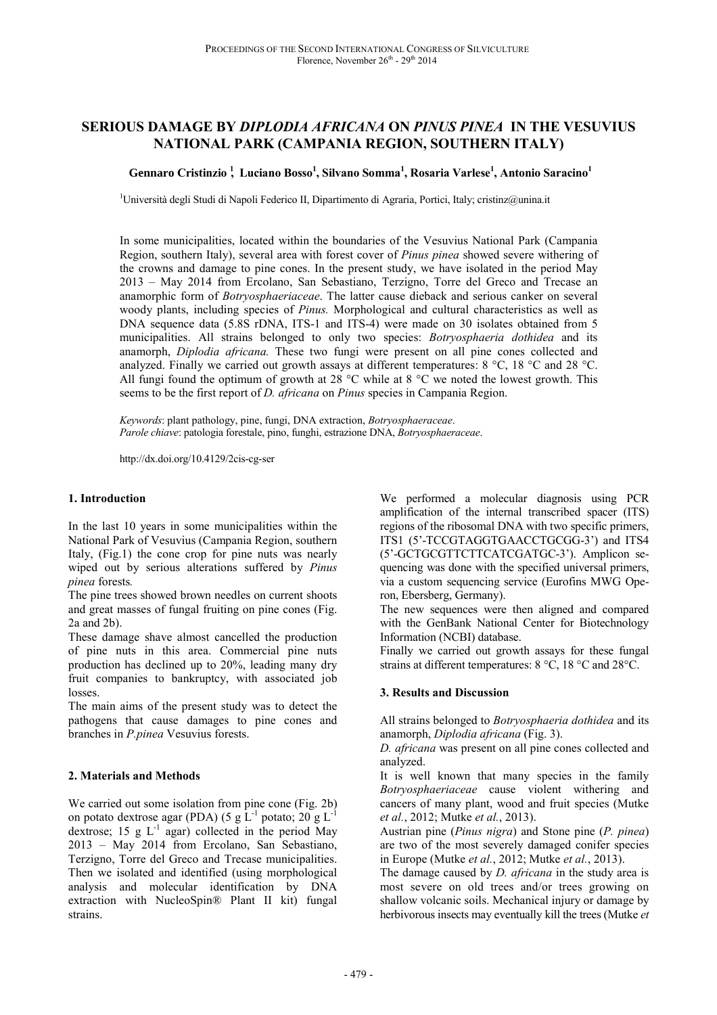# **SERIOUS DAMAGE BY** *DIPLODIA AFRICANA* **ON** *PINUS PINEA* **IN THE VESUVIUS NATIONAL PARK (CAMPANIA REGION, SOUTHERN ITALY)**

### **Gennaro Cristinzio <sup>1</sup> , Luciano Bosso<sup>1</sup> , Silvano Somma<sup>1</sup> , Rosaria Varlese<sup>1</sup> , Antonio Saracino<sup>1</sup>**

<sup>1</sup>Università degli Studi di Napoli Federico II, Dipartimento di Agraria, Portici, Italy; cristinz@unina.it

In some municipalities, located within the boundaries of the Vesuvius National Park (Campania Region, southern Italy), several area with forest cover of *Pinus pinea* showed severe withering of the crowns and damage to pine cones. In the present study, we have isolated in the period May 2013 – May 2014 from Ercolano, San Sebastiano, Terzigno, Torre del Greco and Trecase an anamorphic form of *Botryosphaeriaceae*. The latter cause dieback and serious canker on several woody plants, including species of *Pinus.* Morphological and cultural characteristics as well as DNA sequence data (5.8S rDNA, ITS-1 and ITS-4) were made on 30 isolates obtained from 5 municipalities. All strains belonged to only two species: *Botryosphaeria dothidea* and its anamorph, *Diplodia africana.* These two fungi were present on all pine cones collected and analyzed. Finally we carried out growth assays at different temperatures: 8 °C, 18 °C and 28 °C. All fungi found the optimum of growth at 28  $\degree$ C while at 8  $\degree$ C we noted the lowest growth. This seems to be the first report of *D. africana* on *Pinus* species in Campania Region.

*Keywords*: plant pathology, pine, fungi, DNA extraction, *Botryosphaeraceae*. *Parole chiave*: patologia forestale, pino, funghi, estrazione DNA, *Botryosphaeraceae*.

http://dx.doi.org/10.4129/2cis-cg-ser

#### **1. Introduction**

In the last 10 years in some municipalities within the National Park of Vesuvius (Campania Region, southern Italy, (Fig.1) the cone crop for pine nuts was nearly wiped out by serious alterations suffered by *Pinus pinea* forests*.*

The pine trees showed brown needles on current shoots and great masses of fungal fruiting on pine cones (Fig. 2a and 2b).

These damage shave almost cancelled the production of pine nuts in this area. Commercial pine nuts production has declined up to 20%, leading many dry fruit companies to bankruptcy, with associated job losses.

The main aims of the present study was to detect the pathogens that cause damages to pine cones and branches in *P.pinea* Vesuvius forests.

#### **2. Materials and Methods**

We carried out some isolation from pine cone (Fig. 2b) on potato dextrose agar (PDA) (5 g  $\rm L^{-1}$  potato; 20 g  $\rm L^{-1}$ dextrose; 15 g  $L^{-1}$  agar) collected in the period May 2013 – May 2014 from Ercolano, San Sebastiano, Terzigno, Torre del Greco and Trecase municipalities. Then we isolated and identified (using morphological analysis and molecular identification by DNA extraction with NucleoSpin® Plant II kit) fungal strains.

We performed a molecular diagnosis using PCR amplification of the internal transcribed spacer (ITS) regions of the ribosomal DNA with two specific primers, ITS1 (5'-TCCGTAGGTGAACCTGCGG-3') and ITS4 (5'-GCTGCGTTCTTCATCGATGC-3'). Amplicon sequencing was done with the specified universal primers, via a custom sequencing service (Eurofins MWG Operon, Ebersberg, Germany).

The new sequences were then aligned and compared with the GenBank National Center for Biotechnology Information (NCBI) database.

Finally we carried out growth assays for these fungal strains at different temperatures: 8 °C, 18 °C and 28°C.

#### **3. Results and Discussion**

All strains belonged to *Botryosphaeria dothidea* and its anamorph, *Diplodia africana* (Fig. 3).

*D. africana* was present on all pine cones collected and analyzed.

It is well known that many species in the family *Botryosphaeriaceae* cause violent withering and cancers of many plant, wood and fruit species (Mutke *et al.*, 2012; Mutke *et al.*, 2013).

Austrian pine (*Pinus nigra*) and Stone pine (*P. pinea*) are two of the most severely damaged conifer species in Europe (Mutke *et al.*, 2012; Mutke *et al.*, 2013).

The damage caused by *D. africana* in the study area is most severe on old trees and/or trees growing on shallow volcanic soils. Mechanical injury or damage by herbivorous insects may eventually kill the trees (Mutke *et*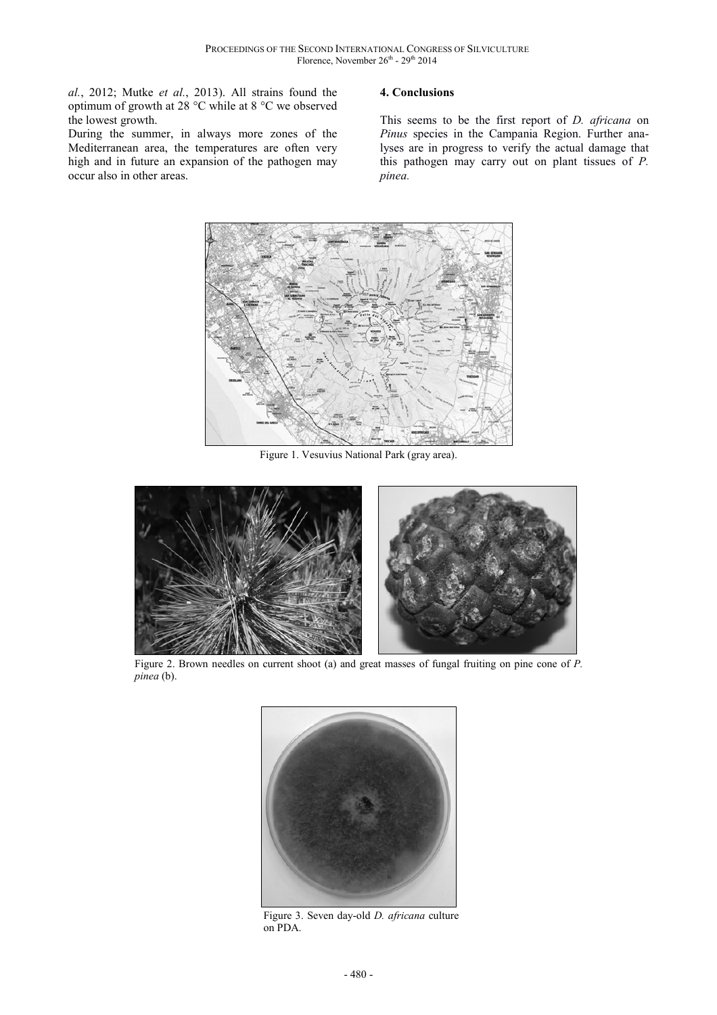*al.*, 2012; Mutke *et al.*, 2013). All strains found the optimum of growth at 28 °C while at 8 °C we observed the lowest growth.

During the summer, in always more zones of the Mediterranean area, the temperatures are often very high and in future an expansion of the pathogen may occur also in other areas.

# **4. Conclusions**

This seems to be the first report of *D. africana* on *Pinus* species in the Campania Region. Further analyses are in progress to verify the actual damage that this pathogen may carry out on plant tissues of *P. pinea.*



Figure 1. Vesuvius National Park (gray area).



Figure 2. Brown needles on current shoot (a) and great masses of fungal fruiting on pine cone of *P. pinea* (b).



Figure 3. Seven day-old *D. africana* culture on PDA.